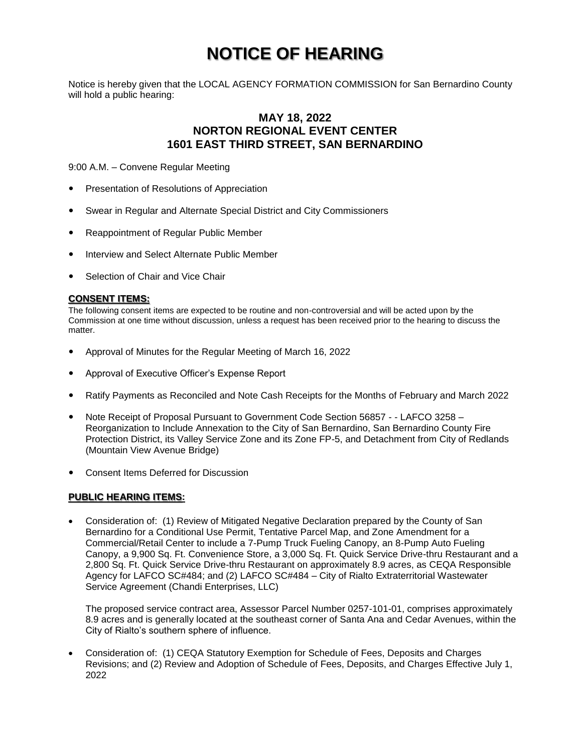# **NOTICE OF HEARING**

Notice is hereby given that the LOCAL AGENCY FORMATION COMMISSION for San Bernardino County will hold a public hearing:

## **MAY 18, 2022 NORTON REGIONAL EVENT CENTER 1601 EAST THIRD STREET, SAN BERNARDINO**

9:00 A.M. – Convene Regular Meeting

- **•** Presentation of Resolutions of Appreciation
- Swear in Regular and Alternate Special District and City Commissioners
- Reappointment of Regular Public Member
- Interview and Select Alternate Public Member
- Selection of Chair and Vice Chair

#### **CONSENT ITEMS:**

The following consent items are expected to be routine and non-controversial and will be acted upon by the Commission at one time without discussion, unless a request has been received prior to the hearing to discuss the matter.

- Approval of Minutes for the Regular Meeting of March 16, 2022
- Approval of Executive Officer's Expense Report
- Ratify Payments as Reconciled and Note Cash Receipts for the Months of February and March 2022
- Note Receipt of Proposal Pursuant to Government Code Section 56857 - LAFCO 3258 Reorganization to Include Annexation to the City of San Bernardino, San Bernardino County Fire Protection District, its Valley Service Zone and its Zone FP-5, and Detachment from City of Redlands (Mountain View Avenue Bridge)
- Consent Items Deferred for Discussion

#### **PUBLIC HEARING ITEMS:**

 Consideration of: (1) Review of Mitigated Negative Declaration prepared by the County of San Bernardino for a Conditional Use Permit, Tentative Parcel Map, and Zone Amendment for a Commercial/Retail Center to include a 7-Pump Truck Fueling Canopy, an 8-Pump Auto Fueling Canopy, a 9,900 Sq. Ft. Convenience Store, a 3,000 Sq. Ft. Quick Service Drive-thru Restaurant and a 2,800 Sq. Ft. Quick Service Drive-thru Restaurant on approximately 8.9 acres, as CEQA Responsible Agency for LAFCO SC#484; and (2) LAFCO SC#484 – City of Rialto Extraterritorial Wastewater Service Agreement (Chandi Enterprises, LLC)

The proposed service contract area, Assessor Parcel Number 0257-101-01, comprises approximately 8.9 acres and is generally located at the southeast corner of Santa Ana and Cedar Avenues, within the City of Rialto's southern sphere of influence.

 Consideration of: (1) CEQA Statutory Exemption for Schedule of Fees, Deposits and Charges Revisions; and (2) Review and Adoption of Schedule of Fees, Deposits, and Charges Effective July 1, 2022